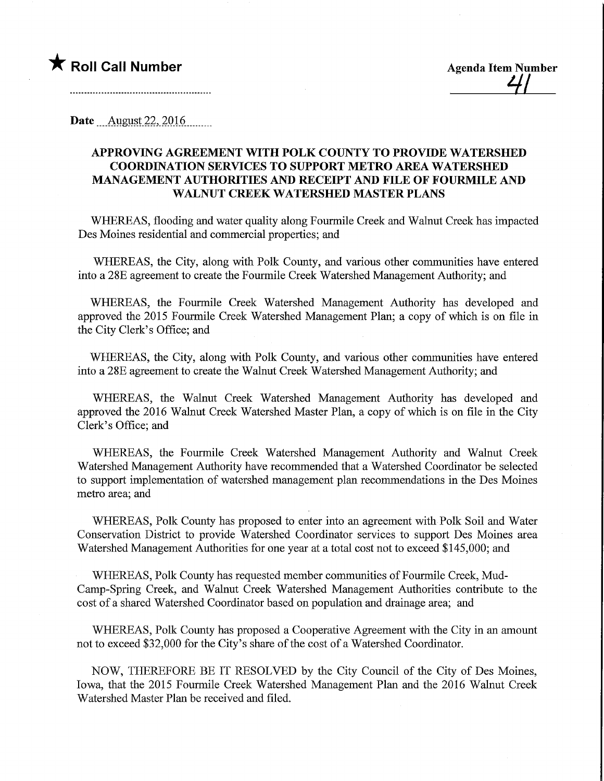## $\bigstar$  Roll Call Number  $\bigstar$  Agenda Item Number

Date ... August 22, 2016.

## APPROVING AGREEMENT WITH POLK COUNTY TO PROVIDE WATERSHED COORDINATION SERVICES TO SUPPORT METRO AREA WATERSHED MANAGEMENT AUTHORITIES AND RECEIPT AND FILE OF FOURMILE AND WALNUT CREEK WATERSHED MASTER PLANS

WHEREAS, flooding and water quality along Founnile Creek and Walnut Creek has impacted Des Moines residential and commercial properties; and

WHEREAS, the City, along with Polk County, and various other communities have entered into a 28E agreement to create the Fourmile Creek Watershed Management Authority; and

WHEREAS, the Fourmile Creek Watershed Management Authority has developed and approved the 2015 Fourmile Creek Watershed Management Plan; a copy of which is on file in the City Clerk's Office; and

WHEREAS, the City, along with Polk County, and various other communities have entered into a 28E agreement to create the Walnut Creek Watershed Management Authority; and

WHEREAS, the Walnut Creek Watershed Management Authority has developed and approved the 2016 Walnut Creek Watershed Master Plan, a copy of which is on file in the City Clerk's Office; and

WHEREAS, the Fourmile Creek Watershed Management Authority and Walnut Creek Watershed Management Authority have recommended that a Watershed Coordinator be selected to support implementation of watershed management plan recommendations in the Des Moines metro area; and

WHEREAS, Polk County has proposed to enter into an agreement with Polk Soil and Water Conservation District to provide Watershed Coordinator services to support Des Moines area Watershed Management Authorities for one year at a total cost not to exceed \$145,000; and

WHEREAS, Polk County has requested member communities of Fourmile Creek, Mud-Camp-Spring Creek, and Walnut Creek Watershed Management Authorities contribute to the cost of a shared Watershed Coordinator based on population and drainage area; and

WHEREAS, Polk County has proposed a Cooperative Agreement with the City in an amount not to exceed \$32,000 for the City's share of the cost of a Watershed Coordinator.

NOW, THEREFORE BE IT RESOLVED by the City Council of the City of Des Moines, Iowa, that the 2015 Fourmile Creek Watershed Management Plan and the 2016 Walnut Creek Watershed Master Plan be received and filed.